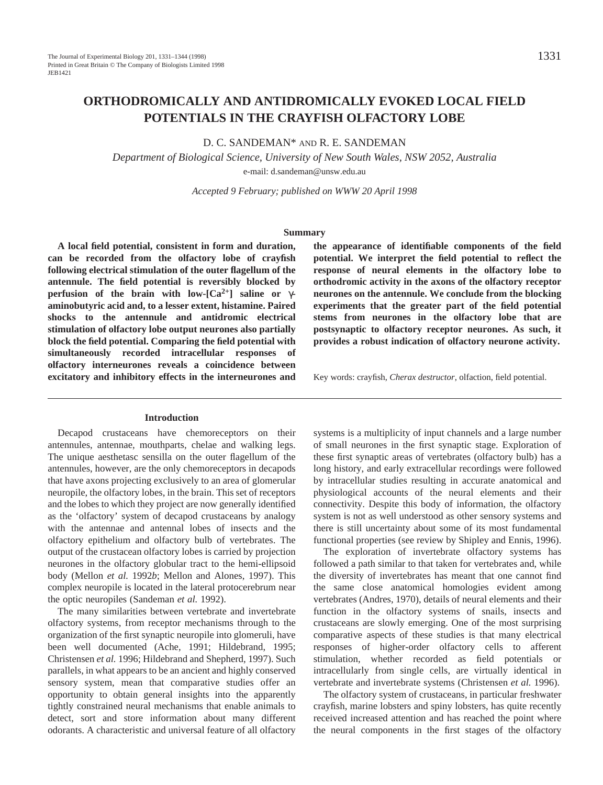## **ORTHODROMICALLY AND ANTIDROMICALLY EVOKED LOCAL FIELD POTENTIALS IN THE CRAYFISH OLFACTORY LOBE**

D. C. SANDEMAN\* AND R. E. SANDEMAN

*Department of Biological Science, University of New South Wales, NSW 2052, Australia* e-mail: d.sandeman@unsw.edu.au

*Accepted 9 February; published on WWW 20 April 1998*

#### **Summary**

**A local field potential, consistent in form and duration, can be recorded from the olfactory lobe of crayfish following electrical stimulation of the outer flagellum of the antennule. The field potential is reversibly blocked by perfusion of the brain with low-[Ca2+] saline or** γ**aminobutyric acid and, to a lesser extent, histamine. Paired shocks to the antennule and antidromic electrical stimulation of olfactory lobe output neurones also partially block the field potential. Comparing the field potential with simultaneously recorded intracellular responses of olfactory interneurones reveals a coincidence between excitatory and inhibitory effects in the interneurones and** **the appearance of identifiable components of the field potential. We interpret the field potential to reflect the response of neural elements in the olfactory lobe to orthodromic activity in the axons of the olfactory receptor neurones on the antennule. We conclude from the blocking experiments that the greater part of the field potential stems from neurones in the olfactory lobe that are postsynaptic to olfactory receptor neurones. As such, it provides a robust indication of olfactory neurone activity.**

Key words: crayfish, *Cherax destructor*, olfaction, field potential.

#### **Introduction**

Decapod crustaceans have chemoreceptors on their antennules, antennae, mouthparts, chelae and walking legs. The unique aesthetasc sensilla on the outer flagellum of the antennules, however, are the only chemoreceptors in decapods that have axons projecting exclusively to an area of glomerular neuropile, the olfactory lobes, in the brain. This set of receptors and the lobes to which they project are now generally identified as the 'olfactory' system of decapod crustaceans by analogy with the antennae and antennal lobes of insects and the olfactory epithelium and olfactory bulb of vertebrates. The output of the crustacean olfactory lobes is carried by projection neurones in the olfactory globular tract to the hemi-ellipsoid body (Mellon *et al.* 1992*b*; Mellon and Alones, 1997). This complex neuropile is located in the lateral protocerebrum near the optic neuropiles (Sandeman *et al.* 1992).

The many similarities between vertebrate and invertebrate olfactory systems, from receptor mechanisms through to the organization of the first synaptic neuropile into glomeruli, have been well documented (Ache, 1991; Hildebrand, 1995; Christensen *et al.* 1996; Hildebrand and Shepherd, 1997). Such parallels, in what appears to be an ancient and highly conserved sensory system, mean that comparative studies offer an opportunity to obtain general insights into the apparently tightly constrained neural mechanisms that enable animals to detect, sort and store information about many different odorants. A characteristic and universal feature of all olfactory

systems is a multiplicity of input channels and a large number of small neurones in the first synaptic stage. Exploration of these first synaptic areas of vertebrates (olfactory bulb) has a long history, and early extracellular recordings were followed by intracellular studies resulting in accurate anatomical and physiological accounts of the neural elements and their connectivity. Despite this body of information, the olfactory system is not as well understood as other sensory systems and there is still uncertainty about some of its most fundamental functional properties (see review by Shipley and Ennis, 1996).

The exploration of invertebrate olfactory systems has followed a path similar to that taken for vertebrates and, while the diversity of invertebrates has meant that one cannot find the same close anatomical homologies evident among vertebrates (Andres, 1970), details of neural elements and their function in the olfactory systems of snails, insects and crustaceans are slowly emerging. One of the most surprising comparative aspects of these studies is that many electrical responses of higher-order olfactory cells to afferent stimulation, whether recorded as field potentials or intracellularly from single cells, are virtually identical in vertebrate and invertebrate systems (Christensen *et al.* 1996).

The olfactory system of crustaceans, in particular freshwater crayfish, marine lobsters and spiny lobsters, has quite recently received increased attention and has reached the point where the neural components in the first stages of the olfactory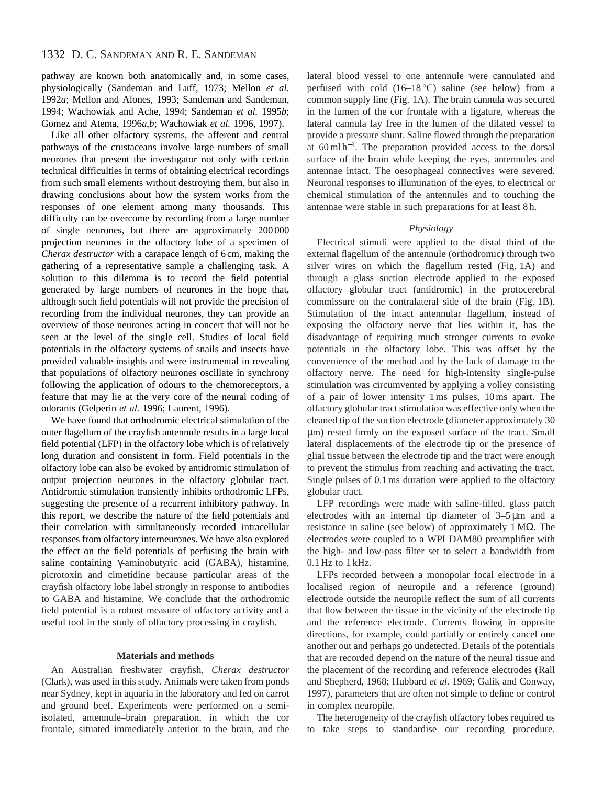pathway are known both anatomically and, in some cases, physiologically (Sandeman and Luff, 1973; Mellon *et al.* 1992*a*; Mellon and Alones, 1993; Sandeman and Sandeman, 1994; Wachowiak and Ache, 1994; Sandeman *et al.* 1995*b*; Gomez and Atema, 1996*a*,*b*; Wachowiak *et al.* 1996, 1997).

Like all other olfactory systems, the afferent and central pathways of the crustaceans involve large numbers of small neurones that present the investigator not only with certain technical difficulties in terms of obtaining electrical recordings from such small elements without destroying them, but also in drawing conclusions about how the system works from the responses of one element among many thousands. This difficulty can be overcome by recording from a large number of single neurones, but there are approximately 200 000 projection neurones in the olfactory lobe of a specimen of *Cherax destructor* with a carapace length of 6 cm, making the gathering of a representative sample a challenging task. A solution to this dilemma is to record the field potential generated by large numbers of neurones in the hope that, although such field potentials will not provide the precision of recording from the individual neurones, they can provide an overview of those neurones acting in concert that will not be seen at the level of the single cell. Studies of local field potentials in the olfactory systems of snails and insects have provided valuable insights and were instrumental in revealing that populations of olfactory neurones oscillate in synchrony following the application of odours to the chemoreceptors, a feature that may lie at the very core of the neural coding of odorants (Gelperin *et al.* 1996; Laurent, 1996).

We have found that orthodromic electrical stimulation of the outer flagellum of the crayfish antennule results in a large local field potential (LFP) in the olfactory lobe which is of relatively long duration and consistent in form. Field potentials in the olfactory lobe can also be evoked by antidromic stimulation of output projection neurones in the olfactory globular tract. Antidromic stimulation transiently inhibits orthodromic LFPs, suggesting the presence of a recurrent inhibitory pathway. In this report, we describe the nature of the field potentials and their correlation with simultaneously recorded intracellular responses from olfactory interneurones. We have also explored the effect on the field potentials of perfusing the brain with saline containing γ-aminobutyric acid (GABA), histamine, picrotoxin and cimetidine because particular areas of the crayfish olfactory lobe label strongly in response to antibodies to GABA and histamine. We conclude that the orthodromic field potential is a robust measure of olfactory activity and a useful tool in the study of olfactory processing in crayfish.

## **Materials and methods**

An Australian freshwater crayfish, *Cherax destructor* (Clark), was used in this study. Animals were taken from ponds near Sydney, kept in aquaria in the laboratory and fed on carrot and ground beef. Experiments were performed on a semiisolated, antennule–brain preparation, in which the cor frontale, situated immediately anterior to the brain, and the lateral blood vessel to one antennule were cannulated and perfused with cold  $(16-18\degree C)$  saline (see below) from a common supply line (Fig. 1A). The brain cannula was secured in the lumen of the cor frontale with a ligature, whereas the lateral cannula lay free in the lumen of the dilated vessel to provide a pressure shunt. Saline flowed through the preparation at 60 ml h<sup>−</sup>1. The preparation provided access to the dorsal surface of the brain while keeping the eyes, antennules and antennae intact. The oesophageal connectives were severed. Neuronal responses to illumination of the eyes, to electrical or chemical stimulation of the antennules and to touching the antennae were stable in such preparations for at least 8 h.

## *Physiology*

Electrical stimuli were applied to the distal third of the external flagellum of the antennule (orthodromic) through two silver wires on which the flagellum rested (Fig. 1A) and through a glass suction electrode applied to the exposed olfactory globular tract (antidromic) in the protocerebral commissure on the contralateral side of the brain (Fig. 1B). Stimulation of the intact antennular flagellum, instead of exposing the olfactory nerve that lies within it, has the disadvantage of requiring much stronger currents to evoke potentials in the olfactory lobe. This was offset by the convenience of the method and by the lack of damage to the olfactory nerve. The need for high-intensity single-pulse stimulation was circumvented by applying a volley consisting of a pair of lower intensity 1 ms pulses, 10 ms apart. The olfactory globular tract stimulation was effective only when the cleaned tip of the suction electrode (diameter approximately 30 µm) rested firmly on the exposed surface of the tract. Small lateral displacements of the electrode tip or the presence of glial tissue between the electrode tip and the tract were enough to prevent the stimulus from reaching and activating the tract. Single pulses of 0.1 ms duration were applied to the olfactory globular tract.

LFP recordings were made with saline-filled, glass patch electrodes with an internal tip diameter of 3–5 µm and a resistance in saline (see below) of approximately  $1 M\Omega$ . The electrodes were coupled to a WPI DAM80 preamplifier with the high- and low-pass filter set to select a bandwidth from  $0.1$  Hz to  $1$  kHz.

LFPs recorded between a monopolar focal electrode in a localised region of neuropile and a reference (ground) electrode outside the neuropile reflect the sum of all currents that flow between the tissue in the vicinity of the electrode tip and the reference electrode. Currents flowing in opposite directions, for example, could partially or entirely cancel one another out and perhaps go undetected. Details of the potentials that are recorded depend on the nature of the neural tissue and the placement of the recording and reference electrodes (Rall and Shepherd, 1968; Hubbard *et al.* 1969; Galik and Conway, 1997), parameters that are often not simple to define or control in complex neuropile.

The heterogeneity of the crayfish olfactory lobes required us to take steps to standardise our recording procedure.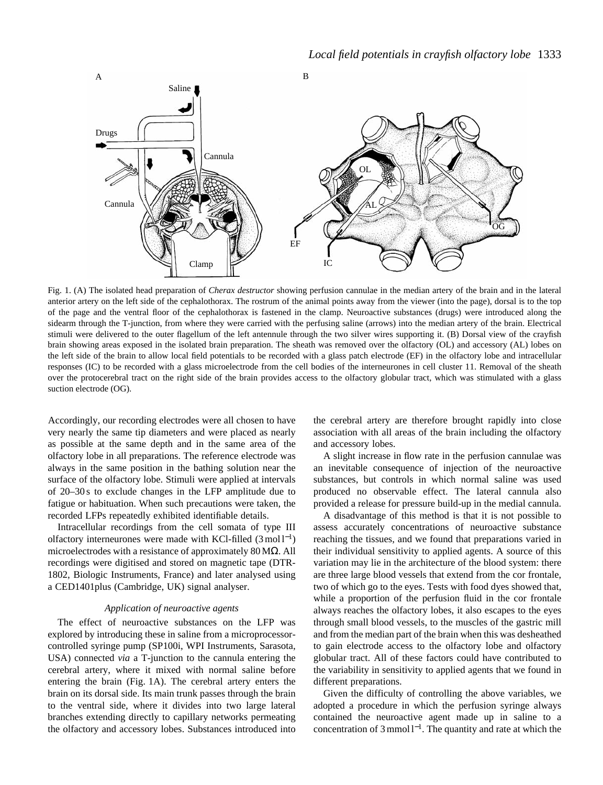

Fig. 1. (A) The isolated head preparation of *Cherax destructor* showing perfusion cannulae in the median artery of the brain and in the lateral anterior artery on the left side of the cephalothorax. The rostrum of the animal points away from the viewer (into the page), dorsal is to the top of the page and the ventral floor of the cephalothorax is fastened in the clamp. Neuroactive substances (drugs) were introduced along the sidearm through the T-junction, from where they were carried with the perfusing saline (arrows) into the median artery of the brain. Electrical stimuli were delivered to the outer flagellum of the left antennule through the two silver wires supporting it. (B) Dorsal view of the crayfish brain showing areas exposed in the isolated brain preparation. The sheath was removed over the olfactory (OL) and accessory (AL) lobes on the left side of the brain to allow local field potentials to be recorded with a glass patch electrode (EF) in the olfactory lobe and intracellular responses (IC) to be recorded with a glass microelectrode from the cell bodies of the interneurones in cell cluster 11. Removal of the sheath over the protocerebral tract on the right side of the brain provides access to the olfactory globular tract, which was stimulated with a glass suction electrode (OG).

Accordingly, our recording electrodes were all chosen to have very nearly the same tip diameters and were placed as nearly as possible at the same depth and in the same area of the olfactory lobe in all preparations. The reference electrode was always in the same position in the bathing solution near the surface of the olfactory lobe. Stimuli were applied at intervals of 20–30 s to exclude changes in the LFP amplitude due to fatigue or habituation. When such precautions were taken, the recorded LFPs repeatedly exhibited identifiable details.

Intracellular recordings from the cell somata of type III olfactory interneurones were made with KCl-filled  $(3 \text{ mol} 1^{-1})$ microelectrodes with a resistance of approximately  $80 \text{ M}\Omega$ . All recordings were digitised and stored on magnetic tape (DTR-1802, Biologic Instruments, France) and later analysed using a CED1401plus (Cambridge, UK) signal analyser.

## *Application of neuroactive agents*

The effect of neuroactive substances on the LFP was explored by introducing these in saline from a microprocessorcontrolled syringe pump (SP100i, WPI Instruments, Sarasota, USA) connected *via* a T-junction to the cannula entering the cerebral artery, where it mixed with normal saline before entering the brain (Fig. 1A). The cerebral artery enters the brain on its dorsal side. Its main trunk passes through the brain to the ventral side, where it divides into two large lateral branches extending directly to capillary networks permeating the olfactory and accessory lobes. Substances introduced into the cerebral artery are therefore brought rapidly into close association with all areas of the brain including the olfactory and accessory lobes.

A slight increase in flow rate in the perfusion cannulae was an inevitable consequence of injection of the neuroactive substances, but controls in which normal saline was used produced no observable effect. The lateral cannula also provided a release for pressure build-up in the medial cannula.

A disadvantage of this method is that it is not possible to assess accurately concentrations of neuroactive substance reaching the tissues, and we found that preparations varied in their individual sensitivity to applied agents. A source of this variation may lie in the architecture of the blood system: there are three large blood vessels that extend from the cor frontale, two of which go to the eyes. Tests with food dyes showed that, while a proportion of the perfusion fluid in the cor frontale always reaches the olfactory lobes, it also escapes to the eyes through small blood vessels, to the muscles of the gastric mill and from the median part of the brain when this was desheathed to gain electrode access to the olfactory lobe and olfactory globular tract. All of these factors could have contributed to the variability in sensitivity to applied agents that we found in different preparations.

Given the difficulty of controlling the above variables, we adopted a procedure in which the perfusion syringe always contained the neuroactive agent made up in saline to a concentration of 3 mmol l<sup>−</sup>1. The quantity and rate at which the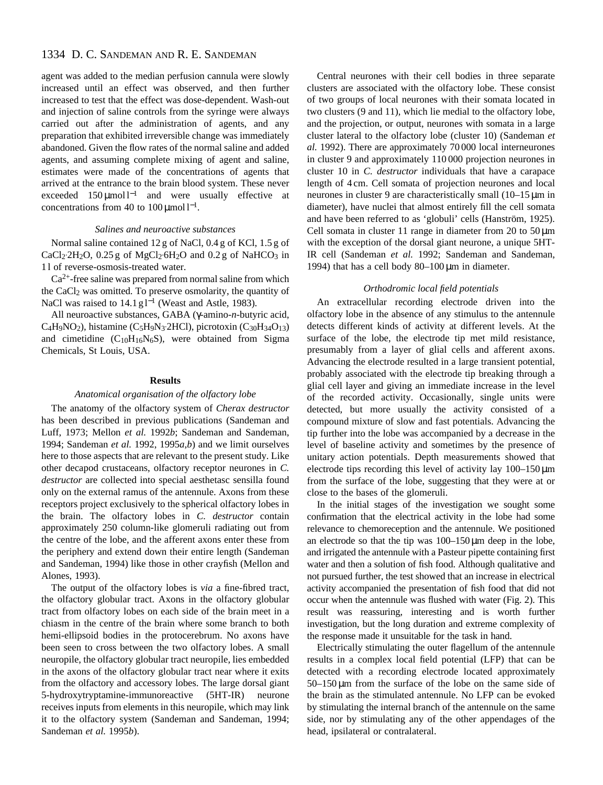## 1334 D. C. SANDEMAN AND R. E. SANDEMAN

agent was added to the median perfusion cannula were slowly increased until an effect was observed, and then further increased to test that the effect was dose-dependent. Wash-out and injection of saline controls from the syringe were always carried out after the administration of agents, and any preparation that exhibited irreversible change was immediately abandoned. Given the flow rates of the normal saline and added agents, and assuming complete mixing of agent and saline, estimates were made of the concentrations of agents that arrived at the entrance to the brain blood system. These never exceeded  $150 \mu \text{mol}^{-1}$  and were usually effective at concentrations from 40 to  $100 \,\mathrm{\mu mol}$  l<sup>-1</sup>.

#### *Salines and neuroactive substances*

Normal saline contained 12 g of NaCl, 0.4 g of KCl, 1.5 g of  $CaCl<sub>2</sub>2H<sub>2</sub>O$ , 0.25 g of MgCl<sub>2</sub>·6H<sub>2</sub>O and 0.2 g of NaHCO<sub>3</sub> in 1 l of reverse-osmosis-treated water.

 $Ca<sup>2+</sup>$ -free saline was prepared from normal saline from which the CaCl2 was omitted. To preserve osmolarity, the quantity of NaCl was raised to 14.1 g l<sup>-1</sup> (Weast and Astle, 1983).

All neuroactive substances, GABA (γ-amino-*n*-butyric acid, C<sub>4</sub>H<sub>9</sub>NO<sub>2</sub>), histamine (C<sub>5</sub>H<sub>9</sub>N<sub>3</sub>·2HCl), picrotoxin (C<sub>30</sub>H<sub>34</sub>O<sub>13</sub>) and cimetidine  $(C_{10}H_{16}N_6S)$ , were obtained from Sigma Chemicals, St Louis, USA.

## **Results**

## *Anatomical organisation of the olfactory lobe*

The anatomy of the olfactory system of *Cherax destructor* has been described in previous publications (Sandeman and Luff, 1973; Mellon *et al.* 1992*b*; Sandeman and Sandeman, 1994; Sandeman *et al.* 1992, 1995*a*,*b*) and we limit ourselves here to those aspects that are relevant to the present study. Like other decapod crustaceans, olfactory receptor neurones in *C. destructor* are collected into special aesthetasc sensilla found only on the external ramus of the antennule. Axons from these receptors project exclusively to the spherical olfactory lobes in the brain. The olfactory lobes in *C. destructor* contain approximately 250 column-like glomeruli radiating out from the centre of the lobe, and the afferent axons enter these from the periphery and extend down their entire length (Sandeman and Sandeman, 1994) like those in other crayfish (Mellon and Alones, 1993).

The output of the olfactory lobes is *via* a fine-fibred tract, the olfactory globular tract. Axons in the olfactory globular tract from olfactory lobes on each side of the brain meet in a chiasm in the centre of the brain where some branch to both hemi-ellipsoid bodies in the protocerebrum. No axons have been seen to cross between the two olfactory lobes. A small neuropile, the olfactory globular tract neuropile, lies embedded in the axons of the olfactory globular tract near where it exits from the olfactory and accessory lobes. The large dorsal giant 5-hydroxytryptamine-immunoreactive (5HT-IR) neurone receives inputs from elements in this neuropile, which may link it to the olfactory system (Sandeman and Sandeman, 1994; Sandeman *et al.* 1995*b*).

Central neurones with their cell bodies in three separate clusters are associated with the olfactory lobe. These consist of two groups of local neurones with their somata located in two clusters (9 and 11), which lie medial to the olfactory lobe, and the projection, or output, neurones with somata in a large cluster lateral to the olfactory lobe (cluster 10) (Sandeman *et al.* 1992). There are approximately 70 000 local interneurones in cluster 9 and approximately 110 000 projection neurones in cluster 10 in *C. destructor* individuals that have a carapace length of 4 cm. Cell somata of projection neurones and local neurones in cluster 9 are characteristically small (10–15 µm in diameter), have nuclei that almost entirely fill the cell somata and have been referred to as 'globuli' cells (Hanström, 1925). Cell somata in cluster 11 range in diameter from 20 to  $50 \mu m$ with the exception of the dorsal giant neurone, a unique 5HT-IR cell (Sandeman *et al.* 1992; Sandeman and Sandeman, 1994) that has a cell body  $80-100 \,\mu m$  in diameter.

## *Orthodromic local field potentials*

An extracellular recording electrode driven into the olfactory lobe in the absence of any stimulus to the antennule detects different kinds of activity at different levels. At the surface of the lobe, the electrode tip met mild resistance, presumably from a layer of glial cells and afferent axons. Advancing the electrode resulted in a large transient potential, probably associated with the electrode tip breaking through a glial cell layer and giving an immediate increase in the level of the recorded activity. Occasionally, single units were detected, but more usually the activity consisted of a compound mixture of slow and fast potentials. Advancing the tip further into the lobe was accompanied by a decrease in the level of baseline activity and sometimes by the presence of unitary action potentials. Depth measurements showed that electrode tips recording this level of activity lay 100–150 µm from the surface of the lobe, suggesting that they were at or close to the bases of the glomeruli.

In the initial stages of the investigation we sought some confirmation that the electrical activity in the lobe had some relevance to chemoreception and the antennule. We positioned an electrode so that the tip was 100–150µm deep in the lobe, and irrigated the antennule with a Pasteur pipette containing first water and then a solution of fish food. Although qualitative and not pursued further, the test showed that an increase in electrical activity accompanied the presentation of fish food that did not occur when the antennule was flushed with water (Fig. 2). This result was reassuring, interesting and is worth further investigation, but the long duration and extreme complexity of the response made it unsuitable for the task in hand.

Electrically stimulating the outer flagellum of the antennule results in a complex local field potential (LFP) that can be detected with a recording electrode located approximately  $50-150 \mu m$  from the surface of the lobe on the same side of the brain as the stimulated antennule. No LFP can be evoked by stimulating the internal branch of the antennule on the same side, nor by stimulating any of the other appendages of the head, ipsilateral or contralateral.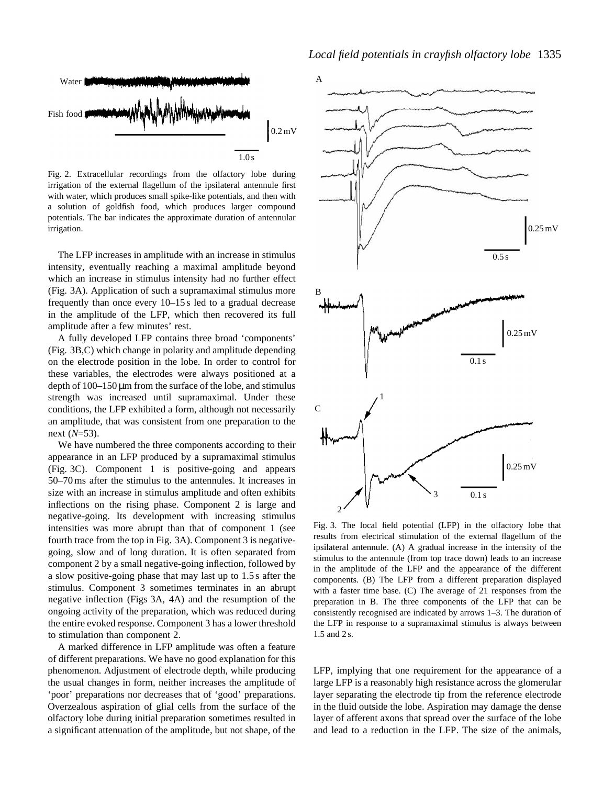

Fig. 2. Extracellular recordings from the olfactory lobe during irrigation of the external flagellum of the ipsilateral antennule first with water, which produces small spike-like potentials, and then with a solution of goldfish food, which produces larger compound potentials. The bar indicates the approximate duration of antennular irrigation.

The LFP increases in amplitude with an increase in stimulus intensity, eventually reaching a maximal amplitude beyond which an increase in stimulus intensity had no further effect (Fig. 3A). Application of such a supramaximal stimulus more frequently than once every 10–15 s led to a gradual decrease in the amplitude of the LFP, which then recovered its full amplitude after a few minutes' rest.

A fully developed LFP contains three broad 'components' (Fig. 3B,C) which change in polarity and amplitude depending on the electrode position in the lobe. In order to control for these variables, the electrodes were always positioned at a depth of 100–150 µm from the surface of the lobe, and stimulus strength was increased until supramaximal. Under these conditions, the LFP exhibited a form, although not necessarily an amplitude, that was consistent from one preparation to the next (*N*=53).

We have numbered the three components according to their appearance in an LFP produced by a supramaximal stimulus (Fig. 3C). Component 1 is positive-going and appears 50–70 ms after the stimulus to the antennules. It increases in size with an increase in stimulus amplitude and often exhibits inflections on the rising phase. Component 2 is large and negative-going. Its development with increasing stimulus intensities was more abrupt than that of component 1 (see fourth trace from the top in Fig. 3A). Component 3 is negativegoing, slow and of long duration. It is often separated from component 2 by a small negative-going inflection, followed by a slow positive-going phase that may last up to 1.5 s after the stimulus. Component 3 sometimes terminates in an abrupt negative inflection (Figs 3A, 4A) and the resumption of the ongoing activity of the preparation, which was reduced during the entire evoked response. Component 3 has a lower threshold to stimulation than component 2.

A marked difference in LFP amplitude was often a feature of different preparations. We have no good explanation for this phenomenon. Adjustment of electrode depth, while producing the usual changes in form, neither increases the amplitude of 'poor' preparations nor decreases that of 'good' preparations. Overzealous aspiration of glial cells from the surface of the olfactory lobe during initial preparation sometimes resulted in a significant attenuation of the amplitude, but not shape, of the



Fig. 3. The local field potential (LFP) in the olfactory lobe that results from electrical stimulation of the external flagellum of the ipsilateral antennule. (A) A gradual increase in the intensity of the stimulus to the antennule (from top trace down) leads to an increase in the amplitude of the LFP and the appearance of the different components. (B) The LFP from a different preparation displayed with a faster time base. (C) The average of 21 responses from the preparation in B. The three components of the LFP that can be consistently recognised are indicated by arrows 1–3. The duration of the LFP in response to a supramaximal stimulus is always between 1.5 and 2 s.

LFP, implying that one requirement for the appearance of a large LFP is a reasonably high resistance across the glomerular layer separating the electrode tip from the reference electrode in the fluid outside the lobe. Aspiration may damage the dense layer of afferent axons that spread over the surface of the lobe and lead to a reduction in the LFP. The size of the animals,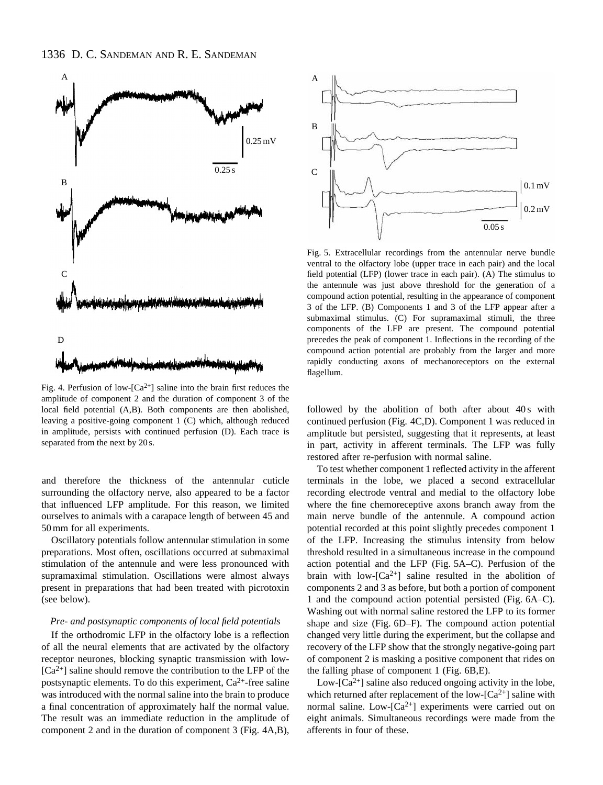

Fig. 4. Perfusion of low- $Ca^{2+}$ ] saline into the brain first reduces the amplitude of component 2 and the duration of component 3 of the local field potential (A,B). Both components are then abolished, leaving a positive-going component 1 (C) which, although reduced in amplitude, persists with continued perfusion (D). Each trace is separated from the next by 20 s.

and therefore the thickness of the antennular cuticle surrounding the olfactory nerve, also appeared to be a factor that influenced LFP amplitude. For this reason, we limited ourselves to animals with a carapace length of between 45 and 50 mm for all experiments.

Oscillatory potentials follow antennular stimulation in some preparations. Most often, oscillations occurred at submaximal stimulation of the antennule and were less pronounced with supramaximal stimulation. Oscillations were almost always present in preparations that had been treated with picrotoxin (see below).

#### *Pre- and postsynaptic components of local field potentials*

If the orthodromic LFP in the olfactory lobe is a reflection of all the neural elements that are activated by the olfactory receptor neurones, blocking synaptic transmission with low-  $[Ca^{2+}]$  saline should remove the contribution to the LFP of the postsynaptic elements. To do this experiment,  $Ca^{2+}$ -free saline was introduced with the normal saline into the brain to produce a final concentration of approximately half the normal value. The result was an immediate reduction in the amplitude of component 2 and in the duration of component 3 (Fig. 4A,B),



Fig. 5. Extracellular recordings from the antennular nerve bundle ventral to the olfactory lobe (upper trace in each pair) and the local field potential (LFP) (lower trace in each pair). (A) The stimulus to the antennule was just above threshold for the generation of a compound action potential, resulting in the appearance of component 3 of the LFP. (B) Components 1 and 3 of the LFP appear after a submaximal stimulus. (C) For supramaximal stimuli, the three components of the LFP are present. The compound potential precedes the peak of component 1. Inflections in the recording of the compound action potential are probably from the larger and more rapidly conducting axons of mechanoreceptors on the external flagellum.

followed by the abolition of both after about 40s with continued perfusion (Fig. 4C,D). Component 1 was reduced in amplitude but persisted, suggesting that it represents, at least in part, activity in afferent terminals. The LFP was fully restored after re-perfusion with normal saline.

To test whether component 1 reflected activity in the afferent terminals in the lobe, we placed a second extracellular recording electrode ventral and medial to the olfactory lobe where the fine chemoreceptive axons branch away from the main nerve bundle of the antennule. A compound action potential recorded at this point slightly precedes component 1 of the LFP. Increasing the stimulus intensity from below threshold resulted in a simultaneous increase in the compound action potential and the LFP (Fig. 5A–C). Perfusion of the brain with low- $[Ca^{2+}]$  saline resulted in the abolition of components 2 and 3 as before, but both a portion of component 1 and the compound action potential persisted (Fig. 6A–C). Washing out with normal saline restored the LFP to its former shape and size (Fig. 6D–F). The compound action potential changed very little during the experiment, but the collapse and recovery of the LFP show that the strongly negative-going part of component 2 is masking a positive component that rides on the falling phase of component 1 (Fig. 6B,E).

Low- $[Ca^{2+}]$  saline also reduced ongoing activity in the lobe, which returned after replacement of the low- $[Ca^{2+}]$  saline with normal saline. Low- $[Ca^{2+}]$  experiments were carried out on eight animals. Simultaneous recordings were made from the afferents in four of these.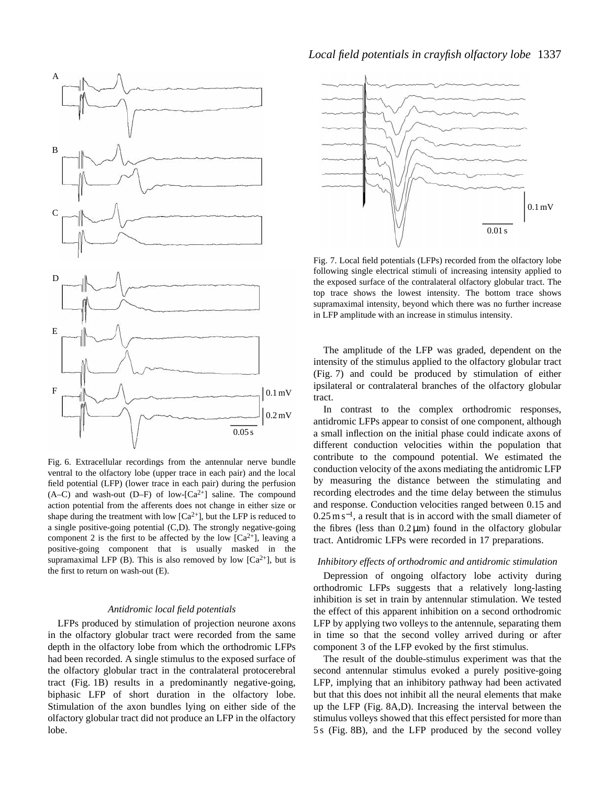

Fig. 6. Extracellular recordings from the antennular nerve bundle ventral to the olfactory lobe (upper trace in each pair) and the local field potential (LFP) (lower trace in each pair) during the perfusion  $(A-C)$  and wash-out  $(D-F)$  of low- $[Ca^{2+}]$  saline. The compound action potential from the afferents does not change in either size or shape during the treatment with low  $[Ca^{2+}]$ , but the LFP is reduced to a single positive-going potential (C,D). The strongly negative-going component 2 is the first to be affected by the low  $[Ca^{2+}]$ , leaving a positive-going component that is usually masked in the supramaximal LFP (B). This is also removed by low  $[Ca^{2+}]$ , but is the first to return on wash-out (E).

## *Antidromic local field potentials*

LFPs produced by stimulation of projection neurone axons in the olfactory globular tract were recorded from the same depth in the olfactory lobe from which the orthodromic LFPs had been recorded. A single stimulus to the exposed surface of the olfactory globular tract in the contralateral protocerebral tract (Fig. 1B) results in a predominantly negative-going, biphasic LFP of short duration in the olfactory lobe. Stimulation of the axon bundles lying on either side of the olfactory globular tract did not produce an LFP in the olfactory lobe.

## *Local field potentials in crayfish olfactory lobe* 1337



Fig. 7. Local field potentials (LFPs) recorded from the olfactory lobe following single electrical stimuli of increasing intensity applied to the exposed surface of the contralateral olfactory globular tract. The top trace shows the lowest intensity. The bottom trace shows supramaximal intensity, beyond which there was no further increase in LFP amplitude with an increase in stimulus intensity.

The amplitude of the LFP was graded, dependent on the intensity of the stimulus applied to the olfactory globular tract (Fig. 7) and could be produced by stimulation of either ipsilateral or contralateral branches of the olfactory globular tract.

In contrast to the complex orthodromic responses, antidromic LFPs appear to consist of one component, although a small inflection on the initial phase could indicate axons of different conduction velocities within the population that contribute to the compound potential. We estimated the conduction velocity of the axons mediating the antidromic LFP by measuring the distance between the stimulating and recording electrodes and the time delay between the stimulus and response. Conduction velocities ranged between 0.15 and  $0.25 \text{ m s}^{-1}$ , a result that is in accord with the small diameter of the fibres (less than  $0.2 \mu m$ ) found in the olfactory globular tract. Antidromic LFPs were recorded in 17 preparations.

## *Inhibitory effects of orthodromic and antidromic stimulation*

Depression of ongoing olfactory lobe activity during orthodromic LFPs suggests that a relatively long-lasting inhibition is set in train by antennular stimulation. We tested the effect of this apparent inhibition on a second orthodromic LFP by applying two volleys to the antennule, separating them in time so that the second volley arrived during or after component 3 of the LFP evoked by the first stimulus.

The result of the double-stimulus experiment was that the second antennular stimulus evoked a purely positive-going LFP, implying that an inhibitory pathway had been activated but that this does not inhibit all the neural elements that make up the LFP (Fig. 8A,D). Increasing the interval between the stimulus volleys showed that this effect persisted for more than 5 s (Fig. 8B), and the LFP produced by the second volley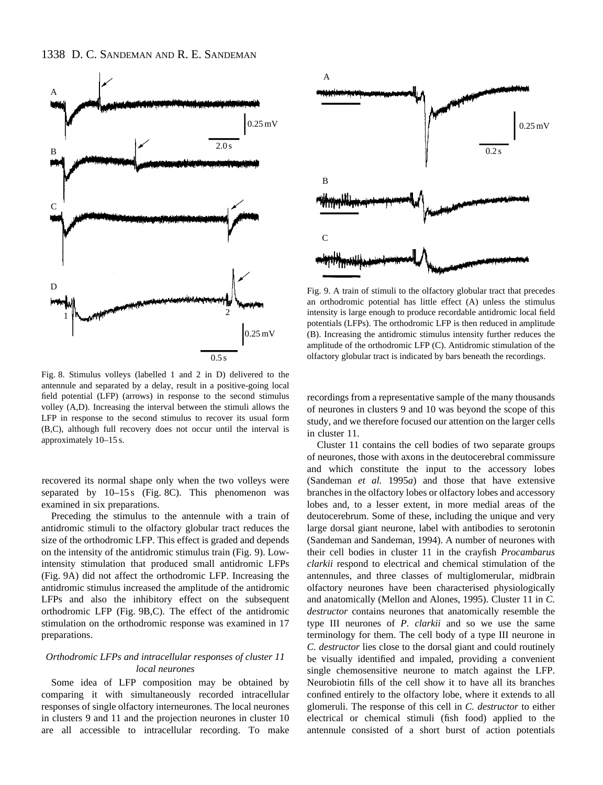

Fig. 8. Stimulus volleys (labelled 1 and 2 in D) delivered to the antennule and separated by a delay, result in a positive-going local field potential (LFP) (arrows) in response to the second stimulus volley (A,D). Increasing the interval between the stimuli allows the LFP in response to the second stimulus to recover its usual form (B,C), although full recovery does not occur until the interval is approximately 10–15 s.

recovered its normal shape only when the two volleys were separated by  $10-15 s$  (Fig. 8C). This phenomenon was examined in six preparations.

Preceding the stimulus to the antennule with a train of antidromic stimuli to the olfactory globular tract reduces the size of the orthodromic LFP. This effect is graded and depends on the intensity of the antidromic stimulus train (Fig. 9). Lowintensity stimulation that produced small antidromic LFPs (Fig. 9A) did not affect the orthodromic LFP. Increasing the antidromic stimulus increased the amplitude of the antidromic LFPs and also the inhibitory effect on the subsequent orthodromic LFP (Fig. 9B,C). The effect of the antidromic stimulation on the orthodromic response was examined in 17 preparations.

## *Orthodromic LFPs and intracellular responses of cluster 11 local neurones*

Some idea of LFP composition may be obtained by comparing it with simultaneously recorded intracellular responses of single olfactory interneurones. The local neurones in clusters 9 and 11 and the projection neurones in cluster 10 are all accessible to intracellular recording. To make



Fig. 9. A train of stimuli to the olfactory globular tract that precedes an orthodromic potential has little effect (A) unless the stimulus intensity is large enough to produce recordable antidromic local field potentials (LFPs). The orthodromic LFP is then reduced in amplitude (B). Increasing the antidromic stimulus intensity further reduces the amplitude of the orthodromic LFP (C). Antidromic stimulation of the olfactory globular tract is indicated by bars beneath the recordings.

recordings from a representative sample of the many thousands of neurones in clusters 9 and 10 was beyond the scope of this study, and we therefore focused our attention on the larger cells in cluster 11.

Cluster 11 contains the cell bodies of two separate groups of neurones, those with axons in the deutocerebral commissure and which constitute the input to the accessory lobes (Sandeman *et al.* 1995*a*) and those that have extensive branches in the olfactory lobes or olfactory lobes and accessory lobes and, to a lesser extent, in more medial areas of the deutocerebrum. Some of these, including the unique and very large dorsal giant neurone, label with antibodies to serotonin (Sandeman and Sandeman, 1994). A number of neurones with their cell bodies in cluster 11 in the crayfish *Procambarus clarkii* respond to electrical and chemical stimulation of the antennules, and three classes of multiglomerular, midbrain olfactory neurones have been characterised physiologically and anatomically (Mellon and Alones, 1995). Cluster 11 in *C. destructor* contains neurones that anatomically resemble the type III neurones of *P. clarkii* and so we use the same terminology for them. The cell body of a type III neurone in *C. destructor* lies close to the dorsal giant and could routinely be visually identified and impaled, providing a convenient single chemosensitive neurone to match against the LFP. Neurobiotin fills of the cell show it to have all its branches confined entirely to the olfactory lobe, where it extends to all glomeruli. The response of this cell in *C. destructor* to either electrical or chemical stimuli (fish food) applied to the antennule consisted of a short burst of action potentials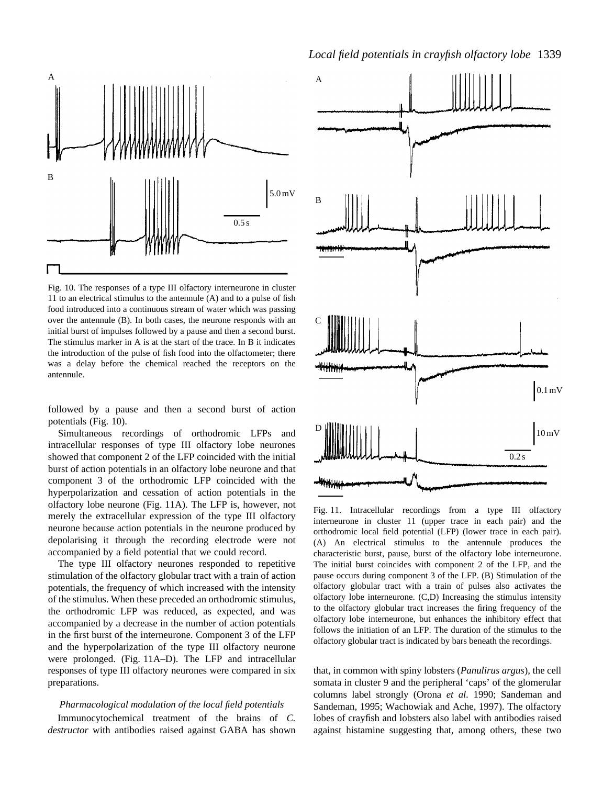

Fig. 10. The responses of a type III olfactory interneurone in cluster 11 to an electrical stimulus to the antennule (A) and to a pulse of fish food introduced into a continuous stream of water which was passing over the antennule (B). In both cases, the neurone responds with an initial burst of impulses followed by a pause and then a second burst. The stimulus marker in A is at the start of the trace. In B it indicates the introduction of the pulse of fish food into the olfactometer; there was a delay before the chemical reached the receptors on the antennule.

followed by a pause and then a second burst of action potentials (Fig. 10).

Simultaneous recordings of orthodromic LFPs and intracellular responses of type III olfactory lobe neurones showed that component 2 of the LFP coincided with the initial burst of action potentials in an olfactory lobe neurone and that component 3 of the orthodromic LFP coincided with the hyperpolarization and cessation of action potentials in the olfactory lobe neurone (Fig. 11A). The LFP is, however, not merely the extracellular expression of the type III olfactory neurone because action potentials in the neurone produced by depolarising it through the recording electrode were not accompanied by a field potential that we could record.

The type III olfactory neurones responded to repetitive stimulation of the olfactory globular tract with a train of action potentials, the frequency of which increased with the intensity of the stimulus. When these preceded an orthodromic stimulus, the orthodromic LFP was reduced, as expected, and was accompanied by a decrease in the number of action potentials in the first burst of the interneurone. Component 3 of the LFP and the hyperpolarization of the type III olfactory neurone were prolonged. (Fig. 11A–D). The LFP and intracellular responses of type III olfactory neurones were compared in six preparations.

# *Pharmacological modulation of the local field potentials*

Immunocytochemical treatment of the brains of *C. destructor* with antibodies raised against GABA has shown



Fig. 11. Intracellular recordings from a type III olfactory interneurone in cluster 11 (upper trace in each pair) and the orthodromic local field potential (LFP) (lower trace in each pair). (A) An electrical stimulus to the antennule produces the characteristic burst, pause, burst of the olfactory lobe interneurone. The initial burst coincides with component 2 of the LFP, and the pause occurs during component 3 of the LFP. (B) Stimulation of the olfactory globular tract with a train of pulses also activates the olfactory lobe interneurone. (C,D) Increasing the stimulus intensity to the olfactory globular tract increases the firing frequency of the olfactory lobe interneurone, but enhances the inhibitory effect that follows the initiation of an LFP. The duration of the stimulus to the olfactory globular tract is indicated by bars beneath the recordings.

that, in common with spiny lobsters (*Panulirus argus*), the cell somata in cluster 9 and the peripheral 'caps' of the glomerular columns label strongly (Orona *et al.* 1990; Sandeman and Sandeman, 1995; Wachowiak and Ache, 1997). The olfactory lobes of crayfish and lobsters also label with antibodies raised against histamine suggesting that, among others, these two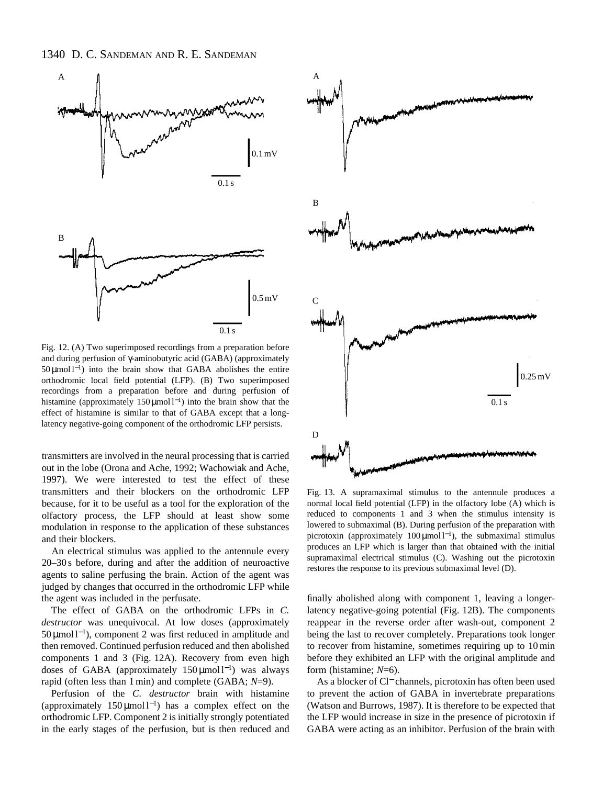

Fig. 12. (A) Two superimposed recordings from a preparation before and during perfusion of γ-aminobutyric acid (GABA) (approximately 50 µmol l<sup>−</sup>1) into the brain show that GABA abolishes the entire orthodromic local field potential (LFP). (B) Two superimposed recordings from a preparation before and during perfusion of histamine (approximately 150 µmol  $l^{-1}$ ) into the brain show that the effect of histamine is similar to that of GABA except that a longlatency negative-going component of the orthodromic LFP persists.

transmitters are involved in the neural processing that is carried out in the lobe (Orona and Ache, 1992; Wachowiak and Ache, 1997). We were interested to test the effect of these transmitters and their blockers on the orthodromic LFP because, for it to be useful as a tool for the exploration of the olfactory process, the LFP should at least show some modulation in response to the application of these substances and their blockers.

An electrical stimulus was applied to the antennule every 20–30 s before, during and after the addition of neuroactive agents to saline perfusing the brain. Action of the agent was judged by changes that occurred in the orthodromic LFP while the agent was included in the perfusate.

The effect of GABA on the orthodromic LFPs in *C. destructor* was unequivocal. At low doses (approximately 50 µmol l<sup>−</sup>1), component 2 was first reduced in amplitude and then removed. Continued perfusion reduced and then abolished components 1 and 3 (Fig. 12A). Recovery from even high doses of GABA (approximately  $150 \mu$ mol l<sup>-1</sup>) was always rapid (often less than 1 min) and complete (GABA; *N*=9).

Perfusion of the *C. destructor* brain with histamine (approximately 150  $\mu$ mol l<sup>-1</sup>) has a complex effect on the orthodromic LFP. Component 2 is initially strongly potentiated in the early stages of the perfusion, but is then reduced and



Fig. 13. A supramaximal stimulus to the antennule produces a normal local field potential (LFP) in the olfactory lobe (A) which is reduced to components 1 and 3 when the stimulus intensity is lowered to submaximal (B). During perfusion of the preparation with picrotoxin (approximately  $100 \mu$ mol l<sup>-1</sup>), the submaximal stimulus produces an LFP which is larger than that obtained with the initial supramaximal electrical stimulus (C). Washing out the picrotoxin restores the response to its previous submaximal level (D).

finally abolished along with component 1, leaving a longerlatency negative-going potential (Fig. 12B). The components reappear in the reverse order after wash-out, component 2 being the last to recover completely. Preparations took longer to recover from histamine, sometimes requiring up to 10 min before they exhibited an LFP with the original amplitude and form (histamine; *N*=6).

As a blocker of Cl<sup>−</sup> channels, picrotoxin has often been used to prevent the action of GABA in invertebrate preparations (Watson and Burrows, 1987). It is therefore to be expected that the LFP would increase in size in the presence of picrotoxin if GABA were acting as an inhibitor. Perfusion of the brain with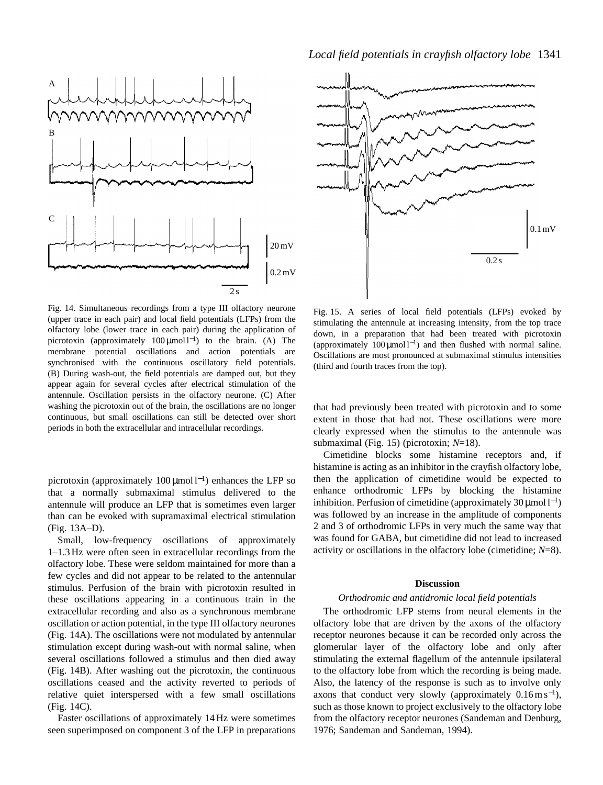



Fig. 14. Simultaneous recordings from a type III olfactory neurone (upper trace in each pair) and local field potentials (LFPs) from the olfactory lobe (lower trace in each pair) during the application of picrotoxin (approximately  $100 \mu$ mol l<sup>-1</sup>) to the brain. (A) The membrane potential oscillations and action potentials are synchronised with the continuous oscillatory field potentials. (B) During wash-out, the field potentials are damped out, but they appear again for several cycles after electrical stimulation of the antennule. Oscillation persists in the olfactory neurone. (C) After washing the picrotoxin out of the brain, the oscillations are no longer continuous, but small oscillations can still be detected over short periods in both the extracellular and intracellular recordings.

picrotoxin (approximately  $100 \mu$ mol l<sup>-1</sup>) enhances the LFP so that a normally submaximal stimulus delivered to the antennule will produce an LFP that is sometimes even larger than can be evoked with supramaximal electrical stimulation (Fig. 13A–D).

Small, low-frequency oscillations of approximately 1–1.3 Hz were often seen in extracellular recordings from the olfactory lobe. These were seldom maintained for more than a few cycles and did not appear to be related to the antennular stimulus. Perfusion of the brain with picrotoxin resulted in these oscillations appearing in a continuous train in the extracellular recording and also as a synchronous membrane oscillation or action potential, in the type III olfactory neurones (Fig. 14A). The oscillations were not modulated by antennular stimulation except during wash-out with normal saline, when several oscillations followed a stimulus and then died away (Fig. 14B). After washing out the picrotoxin, the continuous oscillations ceased and the activity reverted to periods of relative quiet interspersed with a few small oscillations (Fig. 14C).

Faster oscillations of approximately 14 Hz were sometimes seen superimposed on component 3 of the LFP in preparations

Fig. 15. A series of local field potentials (LFPs) evoked by stimulating the antennule at increasing intensity, from the top trace down, in a preparation that had been treated with picrotoxin (approximately  $100 \mu \text{mol}^{-1}$ ) and then flushed with normal saline. Oscillations are most pronounced at submaximal stimulus intensities (third and fourth traces from the top).

that had previously been treated with picrotoxin and to some extent in those that had not. These oscillations were more clearly expressed when the stimulus to the antennule was submaximal (Fig. 15) (picrotoxin; *N*=18).

Cimetidine blocks some histamine receptors and, if histamine is acting as an inhibitor in the crayfish olfactory lobe, then the application of cimetidine would be expected to enhance orthodromic LFPs by blocking the histamine inhibition. Perfusion of cimetidine (approximately  $30 \mu$ mol l<sup>-1</sup>) was followed by an increase in the amplitude of components 2 and 3 of orthodromic LFPs in very much the same way that was found for GABA, but cimetidine did not lead to increased activity or oscillations in the olfactory lobe (cimetidine; *N*=8).

## **Discussion**

#### *Orthodromic and antidromic local field potentials*

The orthodromic LFP stems from neural elements in the olfactory lobe that are driven by the axons of the olfactory receptor neurones because it can be recorded only across the glomerular layer of the olfactory lobe and only after stimulating the external flagellum of the antennule ipsilateral to the olfactory lobe from which the recording is being made. Also, the latency of the response is such as to involve only axons that conduct very slowly (approximately  $0.16 \text{ m s}^{-1}$ ), such as those known to project exclusively to the olfactory lobe from the olfactory receptor neurones (Sandeman and Denburg, 1976; Sandeman and Sandeman, 1994).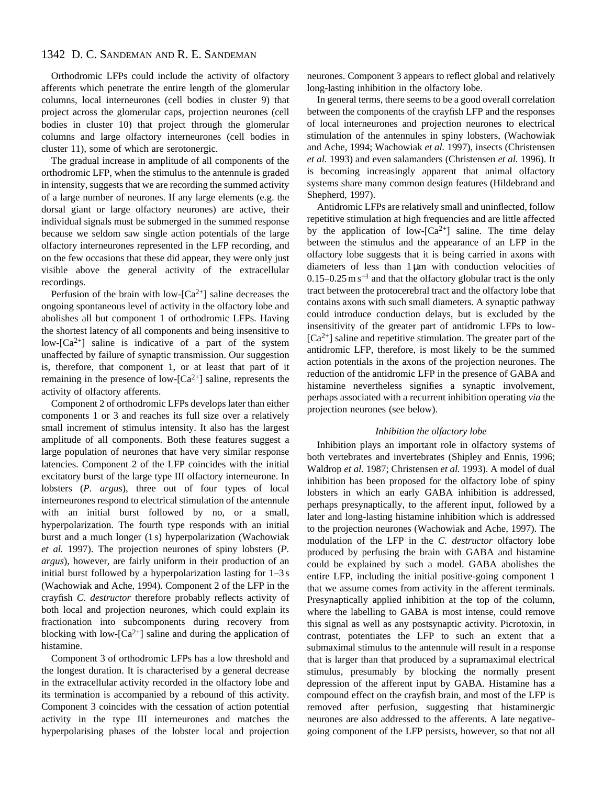## 1342 D. C. SANDEMAN AND R. E. SANDEMAN

Orthodromic LFPs could include the activity of olfactory afferents which penetrate the entire length of the glomerular columns, local interneurones (cell bodies in cluster 9) that project across the glomerular caps, projection neurones (cell bodies in cluster 10) that project through the glomerular columns and large olfactory interneurones (cell bodies in cluster 11), some of which are serotonergic.

The gradual increase in amplitude of all components of the orthodromic LFP, when the stimulus to the antennule is graded in intensity, suggests that we are recording the summed activity of a large number of neurones. If any large elements (e.g. the dorsal giant or large olfactory neurones) are active, their individual signals must be submerged in the summed response because we seldom saw single action potentials of the large olfactory interneurones represented in the LFP recording, and on the few occasions that these did appear, they were only just visible above the general activity of the extracellular recordings.

Perfusion of the brain with low- $[Ca^{2+}]$  saline decreases the ongoing spontaneous level of activity in the olfactory lobe and abolishes all but component 1 of orthodromic LFPs. Having the shortest latency of all components and being insensitive to low- $[Ca^{2+}]$  saline is indicative of a part of the system unaffected by failure of synaptic transmission. Our suggestion is, therefore, that component 1, or at least that part of it remaining in the presence of low- $[Ca^{2+}]$  saline, represents the activity of olfactory afferents.

Component 2 of orthodromic LFPs develops later than either components 1 or 3 and reaches its full size over a relatively small increment of stimulus intensity. It also has the largest amplitude of all components. Both these features suggest a large population of neurones that have very similar response latencies. Component 2 of the LFP coincides with the initial excitatory burst of the large type III olfactory interneurone. In lobsters (*P. argus*), three out of four types of local interneurones respond to electrical stimulation of the antennule with an initial burst followed by no, or a small, hyperpolarization. The fourth type responds with an initial burst and a much longer (1 s) hyperpolarization (Wachowiak *et al.* 1997). The projection neurones of spiny lobsters (*P. argus*), however, are fairly uniform in their production of an initial burst followed by a hyperpolarization lasting for 1–3 s (Wachowiak and Ache, 1994). Component 2 of the LFP in the crayfish *C. destructor* therefore probably reflects activity of both local and projection neurones, which could explain its fractionation into subcomponents during recovery from blocking with low- $[Ca^{2+}]$  saline and during the application of histamine.

Component 3 of orthodromic LFPs has a low threshold and the longest duration. It is characterised by a general decrease in the extracellular activity recorded in the olfactory lobe and its termination is accompanied by a rebound of this activity. Component 3 coincides with the cessation of action potential activity in the type III interneurones and matches the hyperpolarising phases of the lobster local and projection neurones. Component 3 appears to reflect global and relatively long-lasting inhibition in the olfactory lobe.

In general terms, there seems to be a good overall correlation between the components of the crayfish LFP and the responses of local interneurones and projection neurones to electrical stimulation of the antennules in spiny lobsters, (Wachowiak and Ache, 1994; Wachowiak *et al.* 1997), insects (Christensen *et al.* 1993) and even salamanders (Christensen *et al.* 1996). It is becoming increasingly apparent that animal olfactory systems share many common design features (Hildebrand and Shepherd, 1997).

Antidromic LFPs are relatively small and uninflected, follow repetitive stimulation at high frequencies and are little affected by the application of low- $[Ca^{2+}]$  saline. The time delay between the stimulus and the appearance of an LFP in the olfactory lobe suggests that it is being carried in axons with diameters of less than 1 µm with conduction velocities of 0.15–0.25 m s<sup>-1</sup> and that the olfactory globular tract is the only tract between the protocerebral tract and the olfactory lobe that contains axons with such small diameters. A synaptic pathway could introduce conduction delays, but is excluded by the insensitivity of the greater part of antidromic LFPs to low-  $[Ca^{2+}]$  saline and repetitive stimulation. The greater part of the antidromic LFP, therefore, is most likely to be the summed action potentials in the axons of the projection neurones. The reduction of the antidromic LFP in the presence of GABA and histamine nevertheless signifies a synaptic involvement, perhaps associated with a recurrent inhibition operating *via* the projection neurones (see below).

## *Inhibition the olfactory lobe*

Inhibition plays an important role in olfactory systems of both vertebrates and invertebrates (Shipley and Ennis, 1996; Waldrop *et al.* 1987; Christensen *et al.* 1993). A model of dual inhibition has been proposed for the olfactory lobe of spiny lobsters in which an early GABA inhibition is addressed, perhaps presynaptically, to the afferent input, followed by a later and long-lasting histamine inhibition which is addressed to the projection neurones (Wachowiak and Ache, 1997). The modulation of the LFP in the *C. destructor* olfactory lobe produced by perfusing the brain with GABA and histamine could be explained by such a model. GABA abolishes the entire LFP, including the initial positive-going component 1 that we assume comes from activity in the afferent terminals. Presynaptically applied inhibition at the top of the column, where the labelling to GABA is most intense, could remove this signal as well as any postsynaptic activity. Picrotoxin, in contrast, potentiates the LFP to such an extent that a submaximal stimulus to the antennule will result in a response that is larger than that produced by a supramaximal electrical stimulus, presumably by blocking the normally present depression of the afferent input by GABA. Histamine has a compound effect on the crayfish brain, and most of the LFP is removed after perfusion, suggesting that histaminergic neurones are also addressed to the afferents. A late negativegoing component of the LFP persists, however, so that not all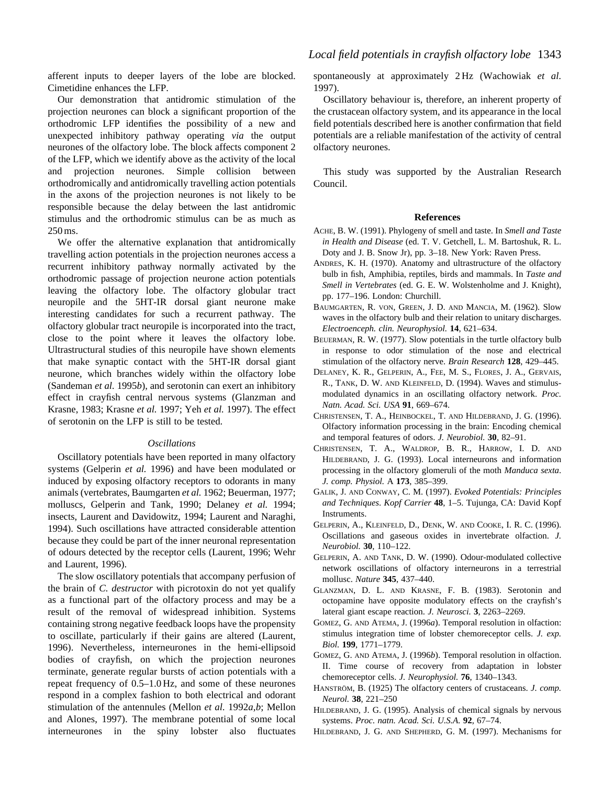afferent inputs to deeper layers of the lobe are blocked. Cimetidine enhances the LFP.

Our demonstration that antidromic stimulation of the projection neurones can block a significant proportion of the orthodromic LFP identifies the possibility of a new and unexpected inhibitory pathway operating *via* the output neurones of the olfactory lobe. The block affects component 2 of the LFP, which we identify above as the activity of the local and projection neurones. Simple collision between orthodromically and antidromically travelling action potentials in the axons of the projection neurones is not likely to be responsible because the delay between the last antidromic stimulus and the orthodromic stimulus can be as much as 250 ms.

We offer the alternative explanation that antidromically travelling action potentials in the projection neurones access a recurrent inhibitory pathway normally activated by the orthodromic passage of projection neurone action potentials leaving the olfactory lobe. The olfactory globular tract neuropile and the 5HT-IR dorsal giant neurone make interesting candidates for such a recurrent pathway. The olfactory globular tract neuropile is incorporated into the tract, close to the point where it leaves the olfactory lobe. Ultrastructural studies of this neuropile have shown elements that make synaptic contact with the 5HT-IR dorsal giant neurone, which branches widely within the olfactory lobe (Sandeman *et al.* 1995*b*), and serotonin can exert an inhibitory effect in crayfish central nervous systems (Glanzman and Krasne, 1983; Krasne *et al.* 1997; Yeh *et al.* 1997). The effect of serotonin on the LFP is still to be tested.

## *Oscillations*

Oscillatory potentials have been reported in many olfactory systems (Gelperin *et al.* 1996) and have been modulated or induced by exposing olfactory receptors to odorants in many animals (vertebrates, Baumgarten *et al.* 1962; Beuerman, 1977; molluscs, Gelperin and Tank, 1990; Delaney *et al.* 1994; insects, Laurent and Davidowitz, 1994; Laurent and Naraghi, 1994). Such oscillations have attracted considerable attention because they could be part of the inner neuronal representation of odours detected by the receptor cells (Laurent, 1996; Wehr and Laurent, 1996).

The slow oscillatory potentials that accompany perfusion of the brain of *C. destructor* with picrotoxin do not yet qualify as a functional part of the olfactory process and may be a result of the removal of widespread inhibition. Systems containing strong negative feedback loops have the propensity to oscillate, particularly if their gains are altered (Laurent, 1996). Nevertheless, interneurones in the hemi-ellipsoid bodies of crayfish, on which the projection neurones terminate, generate regular bursts of action potentials with a repeat frequency of 0.5–1.0 Hz, and some of these neurones respond in a complex fashion to both electrical and odorant stimulation of the antennules (Mellon *et al.* 1992*a*,*b*; Mellon and Alones, 1997). The membrane potential of some local interneurones in the spiny lobster also fluctuates spontaneously at approximately 2 Hz (Wachowiak *et al.* 1997).

Oscillatory behaviour is, therefore, an inherent property of the crustacean olfactory system, and its appearance in the local field potentials described here is another confirmation that field potentials are a reliable manifestation of the activity of central olfactory neurones.

This study was supported by the Australian Research Council.

## **References**

- ACHE, B. W. (1991). Phylogeny of smell and taste. In *Smell and Taste in Health and Disease* (ed. T. V. Getchell, L. M. Bartoshuk, R. L. Doty and J. B. Snow Jr), pp. 3–18. New York: Raven Press.
- ANDRES, K. H. (1970). Anatomy and ultrastructure of the olfactory bulb in fish, Amphibia, reptiles, birds and mammals. In *Taste and Smell in Vertebrates* (ed. G. E. W. Wolstenholme and J. Knight), pp. 177–196. London: Churchill.
- BAUMGARTEN, R. VON, GREEN, J. D. AND MANCIA, M. (1962). Slow waves in the olfactory bulb and their relation to unitary discharges. *Electroenceph. clin. Neurophysiol.* **14**, 621–634.
- BEUERMAN, R. W. (1977). Slow potentials in the turtle olfactory bulb in response to odor stimulation of the nose and electrical stimulation of the olfactory nerve. *Brain Research* **128**, 429–445.
- DELANEY, K. R., GELPERIN, A., FEE, M. S., FLORES, J. A., GERVAIS, R., TANK, D. W. AND KLEINFELD, D. (1994). Waves and stimulusmodulated dynamics in an oscillating olfactory network. *Proc. Natn. Acad. Sci. USA* **91**, 669–674.
- CHRISTENSEN, T. A., HEINBOCKEL, T. AND HILDEBRAND, J. G. (1996). Olfactory information processing in the brain: Encoding chemical and temporal features of odors. *J. Neurobiol.* **30**, 82–91.
- CHRISTENSEN, T. A., WALDROP, B. R., HARROW, I. D. AND HILDEBRAND, J. G. (1993). Local interneurons and information processing in the olfactory glomeruli of the moth *Manduca sexta*. *J. comp. Physiol.* A **173**, 385–399.
- GALIK, J. AND CONWAY, C. M. (1997). *Evoked Potentials: Principles and Techniques*. *Kopf Carrier* **48**, 1–5. Tujunga, CA: David Kopf Instruments.
- GELPERIN, A., KLEINFELD, D., DENK, W. AND COOKE, I. R. C. (1996). Oscillations and gaseous oxides in invertebrate olfaction. *J. Neurobiol.* **30**, 110–122.
- GELPERIN, A. AND TANK, D. W. (1990). Odour-modulated collective network oscillations of olfactory interneurons in a terrestrial mollusc. *Nature* **345**, 437–440.
- GLANZMAN, D. L. AND KRASNE, F. B. (1983). Serotonin and octopamine have opposite modulatory effects on the crayfish's lateral giant escape reaction. *J. Neurosci.* **3**, 2263–2269.
- GOMEZ, G. AND ATEMA, J. (1996*a*). Temporal resolution in olfaction: stimulus integration time of lobster chemoreceptor cells. *J. exp. Biol.* **199**, 1771–1779.
- GOMEZ, G. AND ATEMA, J. (1996*b*). Temporal resolution in olfaction. II. Time course of recovery from adaptation in lobster chemoreceptor cells. *J. Neurophysiol.* **76**, 1340–1343.
- HANSTRÖM, B. (1925) The olfactory centers of crustaceans. *J. comp. Neurol.* **38**, 221–250
- HILDEBRAND, J. G. (1995). Analysis of chemical signals by nervous systems. *Proc. natn. Acad. Sci. U.S.A.* **92**, 67–74.
- HILDEBRAND, J. G. AND SHEPHERD, G. M. (1997). Mechanisms for